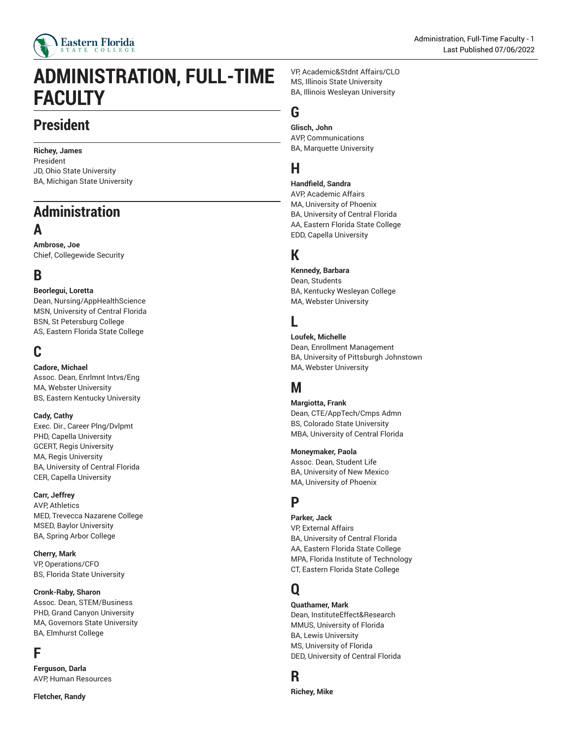

# **ADMINISTRATION, FULL-TIME FACULTY**

# **President**

**Richey, James** President JD, Ohio State University BA, Michigan State University

# **Administration A**

**Ambrose, Joe** Chief, Collegewide Security

# **B**

**Beorlegui, Loretta** Dean, Nursing/AppHealthScience MSN, University of Central Florida BSN, St Petersburg College AS, Eastern Florida State College

# **C**

**Cadore, Michael**

Assoc. Dean, Enrlmnt Intvs/Eng MA, Webster University BS, Eastern Kentucky University

### **Cady, Cathy**

Exec. Dir., Career Plng/Dvlpmt PHD, Capella University GCERT, Regis University MA, Regis University BA, University of Central Florida CER, Capella University

### **Carr, Jeffrey**

AVP, Athletics MED, Trevecca Nazarene College MSED, Baylor University BA, Spring Arbor College

**Cherry, Mark**

VP, Operations/CFO BS, Florida State University

**Cronk-Raby, Sharon**

Assoc. Dean, STEM/Business PHD, Grand Canyon University MA, Governors State University BA, Elmhurst College

# **F**

**Ferguson, Darla** AVP, Human Resources

**Fletcher, Randy**

VP, Academic&Stdnt Affairs/CLO MS, Illinois State University BA, Illinois Wesleyan University

# **G**

**Glisch, John** AVP, Communications BA, Marquette University

# **H**

**Handfield, Sandra** AVP, Academic Affairs MA, University of Phoenix BA, University of Central Florida AA, Eastern Florida State College EDD, Capella University

# **K**

**Kennedy, Barbara**

Dean, Students BA, Kentucky Wesleyan College MA, Webster University

# **L**

**Loufek, Michelle** Dean, Enrollment Management BA, University of Pittsburgh Johnstown MA, Webster University

# **M**

**Margiotta, Frank** Dean, CTE/AppTech/Cmps Admn BS, Colorado State University MBA, University of Central Florida

**Moneymaker, Paola**

Assoc. Dean, Student Life BA, University of New Mexico MA, University of Phoenix

## **P**

**Parker, Jack** VP, External Affairs BA, University of Central Florida AA, Eastern Florida State College MPA, Florida Institute of Technology CT, Eastern Florida State College

# **Q**

**Quathamer, Mark** Dean, InstituteEffect&Research MMUS, University of Florida BA, Lewis University MS, University of Florida DED, University of Central Florida

# **R**

**Richey, Mike**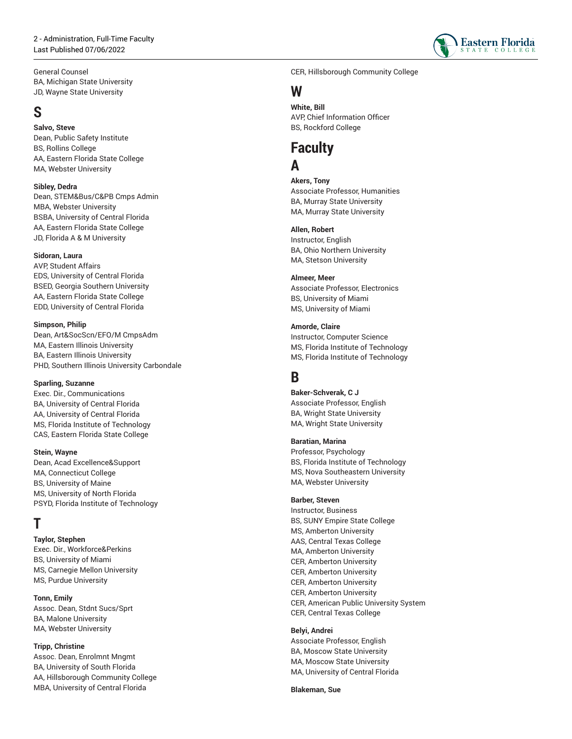

General Counsel BA, Michigan State University JD, Wayne State University ,

# **S**

**Sa l v o , S t e v e** Dean, Public Safety Institute , BS, Rollins College AA, Eastern Florida State College MA, Webster University

**Sibley, Dedra** Dean, STEM&Bus/C&PB Cmps Admin MBA, Webster University BSBA, University of Central Florida AA, Eastern Florida State College JD, Florida A & M University

#### **Sidoran, Laura**

AVP, Student Affairs EDS, University of Central Florida , BSED, Georgia Southern University , AA, Eastern Florida State College EDD, University of Central Florida

**Simpson, Philip** Dean, Art&SocScn/EFO/M CmpsAdm MA, Eastern Illinois University , BA, Eastern Illinois University , PHD, Southern Illinois University Carbondale ,

#### **Sparling, Suzanne**

Exec. Dir., Communications BA, University of Central Florida , AA, University of Central Florida , MS, Florida Institute of Technology , CAS, Eastern Florida State College

**Stein, Wayne** Dean, Acad Excellence&Support MA, Connecticut College BS, University of Maine MS, University of North Florida PSYD, Florida Institute of Technolo g y

# **T**

**Taylor, Stephen** Exec. Dir., Workforce&Perkins BS, University of Miami , MS, Carnegie Mellon University MS, Purdue University ,

#### **T o n n , E m i l y**

Assoc. Dean, Stdnt Sucs/Sprt , BA, Malone University , MA, Webster University ,

#### **T r i p p , C h r i s t i n e**

Assoc. Dean, Enrolmnt Mngmt , BA, University of South Florida , AA, Hillsborough Community College , MBA, University of Central Florida ,

CER, Hillsborough Community College ,

# **W**

**White, Bill** AVP, Chief Information Officer BS, Rockford College ,

### **Faculty A**

**Ak e r s , T o n y** Associate Professor, Humanities BA, Murray State University , MA, Murray State University ,

**A l l e n , R o b e r t** Instructor, En glis h BA, Ohio Northern University , MA, Stetson University ,

**A l m e e r, M e e r** Associate Professor, Electronics BS, University of Miami , MS, University of Miami

**Amorde, Claire** Instructor, Computer Science MS, Florida Institute of Technology , MS, Florida Institute of Technology ,

# **B**

**Ba k e r - S c h v e r a k , C J** Associate Professor, English BA, Wright State University , MA, Wright State University ,

**Baratian, Marina**

Professor, Psychology BS, Florida Institute of Technology , MS, Nova Southeastern University , MA, Webster University ,

#### **B a r b e r, S t e v e n**

Instructor, Busin e s s BS, SUNY Empire State College , MS, Amberton University , AAS, Central Texas College , MA, Amberton University , CER, Amberton University , CER, Amberton University , CER, Amberton University , CER, Amberton University , CER, American Public University System , CER, Central Texas College ,

#### **Belyi, Andrei**

Associate Professor, English BA, Moscow State University , MA, Moscow State University , MA, University of Central Florida ,

**B l a k e m a n , S u e**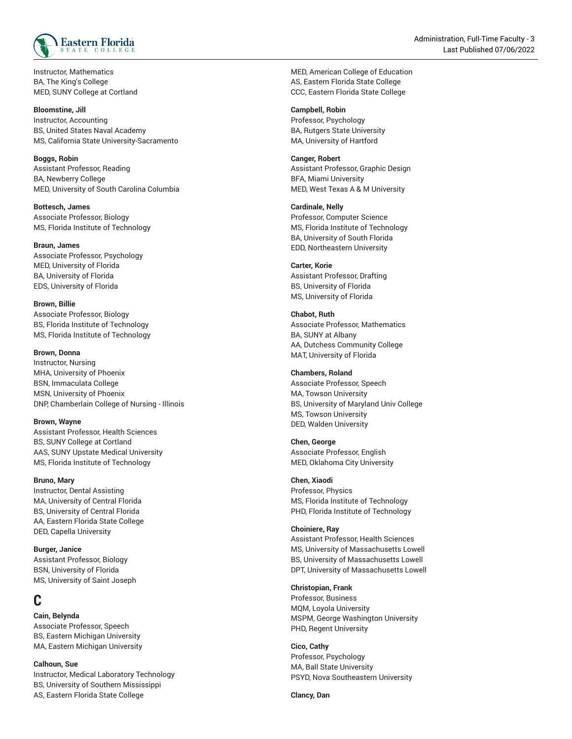

Instructor, Mathematics BA, The King's College MED, SUNY College at Cortland

#### **Bloomstine, Jill**

Instructor, Accounting BS, United States Naval Academy MS, California State University-Sacramento

**Boggs, Robin** Assistant Professor, Reading BA, Newberry College MED, University of South Carolina Columbia

**Bottesch, James** Associate Professor, Biology MS, Florida Institute of Technology

**Braun, James** Associate Professor, Psychology MED, University of Florida BA, University of Florida EDS, University of Florida

**Brown, Billie** Associate Professor, Biology BS, Florida Institute of Technology MS, Florida Institute of Technology

#### **Brown, Donna**

Instructor, Nursing MHA, University of Phoenix BSN, Immaculata College MSN, University of Phoenix DNP, Chamberlain College of Nursing - Illinois

#### **Brown, Wayne**

Assistant Professor, Health Sciences BS, SUNY College at Cortland AAS, SUNY Upstate Medical University MS, Florida Institute of Technology

#### **Bruno, Mary**

Instructor, Dental Assisting MA, University of Central Florida BS, University of Central Florida AA, Eastern Florida State College DED, Capella University

**Burger, Janice** Assistant Professor, Biology BSN, University of Florida MS, University of Saint Joseph

## **C**

**Cain, Belynda** Associate Professor, Speech BS, Eastern Michigan University MA, Eastern Michigan University

**Calhoun, Sue** Instructor, Medical Laboratory Technology BS, University of Southern Mississippi AS, Eastern Florida State College

MED, American College of Education AS, Eastern Florida State College CCC, Eastern Florida State College

#### **Campbell, Robin**

Professor, Psychology BA, Rutgers State University MA, University of Hartford

#### **Canger, Robert**

Assistant Professor, Graphic Design BFA, Miami University MED, West Texas A & M University

#### **Cardinale, Nelly**

Professor, Computer Science MS, Florida Institute of Technology BA, University of South Florida EDD, Northeastern University

#### **Carter, Korie**

Assistant Professor, Drafting BS, University of Florida MS, University of Florida

**Chabot, Ruth** Associate Professor, Mathematics BA, SUNY at Albany AA, Dutchess Community College MAT, University of Florida

#### **Chambers, Roland** Associate Professor, Speech MA, Towson University BS, University of Maryland Univ College MS, Towson University

**Chen, George** Associate Professor, English MED, Oklahoma City University

DED, Walden University

#### **Chen, Xiaodi**

Professor, Physics MS, Florida Institute of Technology PHD, Florida Institute of Technology

#### **Choiniere, Ray**

Assistant Professor, Health Sciences MS, University of Massachusetts Lowell BS, University of Massachusetts Lowell DPT, University of Massachusetts Lowell

#### **Christopian, Frank**

Professor, Business MQM, Loyola University MSPM, George Washington University PHD, Regent University

**Cico, Cathy** Professor, Psychology MA, Ball State University PSYD, Nova Southeastern University

**Clancy, Dan**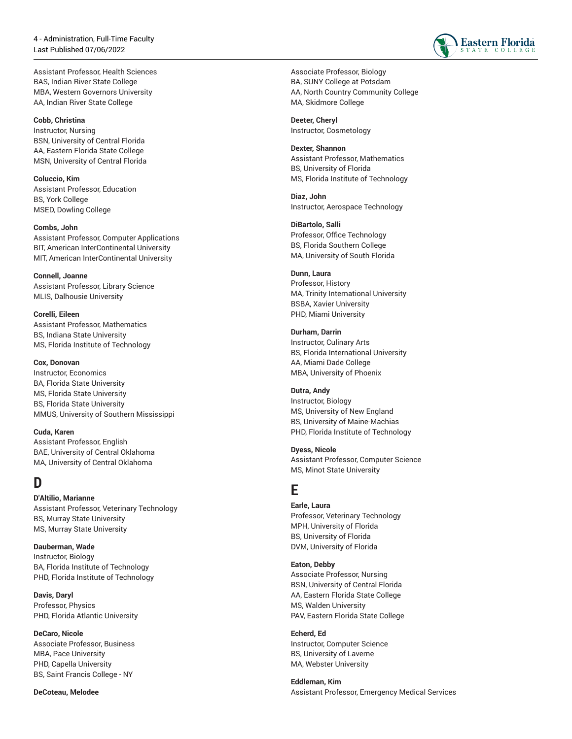Assistant Professor, Health S cie n c e s BAS, Indian River State College MBA, Western Governors University , AA, Indian River State College

#### **Cobb, Christina** Instructor, Nursin g BSN, University of Central Florida , AA, Eastern Florida State College MSN, University of Central Florida

**Coluccio, Kim** Assistant Professor, Education BS, York College , MSED, Dowling College ,

**Combs, John** Assistant Professor, Computer Applications BIT, American InterContinental University MIT, American InterContinental University

**Connell, Joanne** Assistant Professor, Library Science MLIS, Dalhousie University ,

**Corelli, Eileen** Assistant Professor, Mathematics BS, Indiana State University MS, Florida Institute of Technology ,

#### **Cox, Donovan**

Instructor, Economics BA, Florida State University , MS, Florida State University , BS, Florida State University , MMUS, University of Southern Mississippi ,

**Cuda, Karen** Assistant Professor, English BAE, University of Central Oklahoma , MA, University of Central Oklahoma ,

# **D**

#### **D'Altilio, Marianne**

Assistant Professor, Veterinary Technology BS, Murray State University , MS, Murray State University ,

**D a u b e r m a n , W a d e** Instructor, Biology BA, Florida Institute of Technology PHD, Florida Institute of Technology ,

**D a v i s , D a r y l** Professor, Physics PHD, Florida Atlantic University ,

**DeCaro, Nicole** Associate Professor, Business MBA, Pace University , PHD, Capella University , BS, Saint Francis College - NY ,

**DeCoteau, Melodee**



**D e e t e r, C h e r y l** Instructor, Cosmetology

**D e x t e r, S h a n n o n** Assistant Professor, Mathematics BS, University of Florida , MS, Florida Institute of Technology ,

**Diaz, John** Instructor, Aerospace Technology

**D i B a r t o l o , S a l l i** Professor, Office Technology BS, Florida Southern College MA, University of South Florid a

#### **Dunn, Laura**

Professor, History MA, Trinity International University , BSBA, Xavier University , PHD, Miami University ,

#### **Durham, Darrin**

Instructor, Culinary Arts BS, Florida International University , AA, Miami Dade College MBA, University of Phoe nix

#### **Dutra, Andy**

Instructor, Biolo g y MS, University of New England , BS, University of Maine-Machias , PHD, Florida Institute of Technology ,

**D y e s s , N i c o l e**

Assistant Professor, Computer Science MS, Minot State University ,

### **E**

### **Earle, Laura** Professor, Veterinary Technology

MPH, University of Florida , BS, University of Florida , DVM, University of Florida ,

#### **E a t o n , D e b b y**

Associate Professor, Nursing BSN, University of Central Florida , AA, Eastern Florida State College MS, Walden University PAV, Eastern Florida State College

**Echerd, Ed**

Instructor, Computer Science BS, University of Laverne MA, Webster University

**Eddleman, Kim** Assistant Professor, Emergency Medical Services

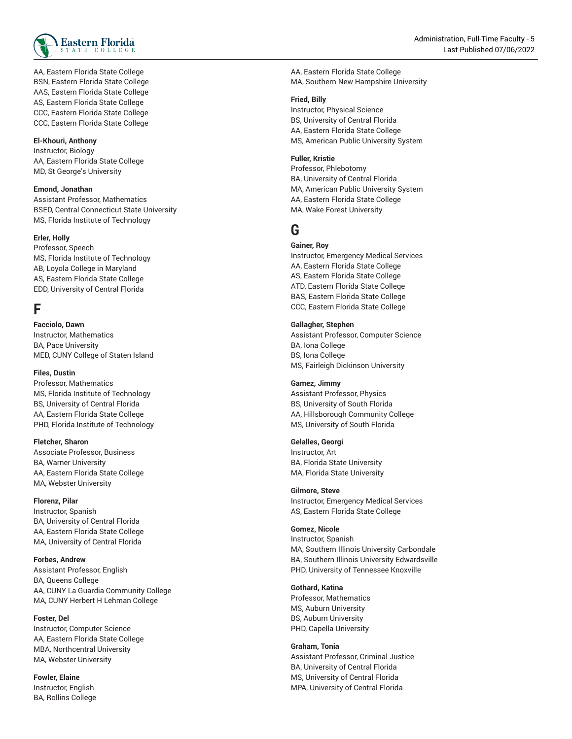

AA, Eastern Florida State College BSN, Eastern Florida State College AAS, Eastern Florida State College AS, Eastern Florida State College CCC, Eastern Florida State College CCC, Eastern Florida State College

#### **El-Khouri, Anthony**

Instructor, Biology AA, Eastern Florida State College MD, St George's University

#### **Emond, Jonathan**

Assistant Professor, Mathematics BSED, Central Connecticut State University , MS, Florida Institute of Technology ,

#### **E r l e r, H o l l y**

Professor, Speech MS, Florida Institute of Technology , AB, Loyola College in Maryland , AS, Eastern Florida State College EDD, University of Central Florida

## **F**

**Facciolo, Dawn** Instructor, Mathematics BA, Pace University MED, CUNY College of Staten Isla n d

#### **Files, Dustin**

Professor, Mathematics MS, Florida Institute of Technology , BS, University of Central Florida , AA, Eastern Florida State College PHD, Florida Institute of Technolo g y

#### **F l e t c h e r, S h a r o n**

Associate Professor, Business BA, Warner University , AA, Eastern Florida State College MA, Webster University

#### **Florenz, Pilar**

Instructor, Spanish BA, University of Central Florida , AA, Eastern Florida State College MA, University of Central Florida

#### **Forbes, Andrew**

Assistant Professor, English BA, Queens College AA, CUNY La Guardia Community College MA, CUNY Herbert H Lehman College ,

#### **F o s t e r, D e l**

Instructor, Computer Science AA, Eastern Florida State College MBA, Northcentral University MA, Webster University

**Fowler, Elaine** Instructor, English BA, Rollins College AA, Eastern Florida State College MA, Southern New Hampshire University

#### **F r i e d , B i l l y**

Instructor, Physical Science BS, University of Central Florida , AA, Eastern Florida State College MS, American Public University System

#### **F u l l e r, K r i s t i e**

Professor, Phlebotomy BA, University of Central Florida , MA, American Public University System , AA, Eastern Florida State College MA, Wake Forest University

# **G**

#### **Gainer, Roy**

Instructor, Emergency Medical Services AA, Eastern Florida State College AS, Eastern Florida State College ATD, Eastern Florida State Colleg e BAS, Eastern Florida State College CCC, Eastern Florida State College

#### **Gallagher, Stephen**

Assistant Professor, Computer Scie n c e BA, Iona College BS, Iona College MS, Fairleigh Dickinson University

#### **Gamez, Jimmy**

Assistant Professor, Physics BS, University of South Florida , AA, Hillsborough Community College , MS, University of South Florida ,

#### **Gelalles, Georgi**

Instructor, Art BA, Florida State University MA, Florida State University ,

#### **G i l m o r e , S t e v e**

Instructor, Emergency Medical Services AS, Eastern Florida State College

#### **Gomez, Nicole**

Instructor, Spa nis h MA, Southern Illinois University Carbondale , BA, Southern Illinois University Edwardsville , PHD, University of Tennessee Knoxville ,

#### **Gothard, Katina**

Professor, Mathematics MS, Auburn University , BS, Auburn University , PHD, Capella University ,

**G r a h a m , T o n i a** Assistant Professor, Criminal Justice BA, University of Central Florida , MS, University of Central Florida , MPA, University of Central Florida ,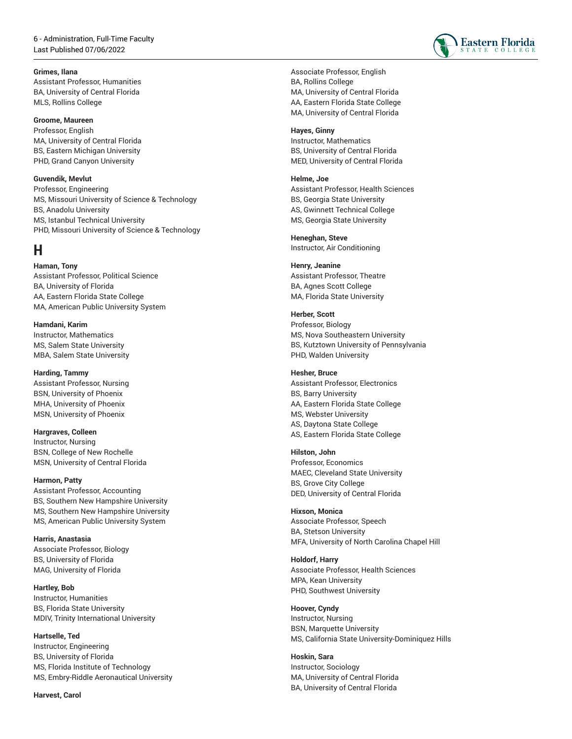#### **Grimes, Ilana**

Assistant Professor, Humanities BA, University of Central Florida MLS, Rollins College

#### **Groome, Maureen**

Professor, English MA, University of Central Florida BS, Eastern Michigan University PHD, Grand Canyon University

#### **Guvendik, Mevlut**

Professor, Engineering MS, Missouri University of Science & Technology BS, Anadolu University MS, Istanbul Technical University PHD, Missouri University of Science & Technology

### **H**

**Haman, Tony** Assistant Professor, Political Science BA, University of Florida AA, Eastern Florida State College MA, American Public University System

**Hamdani, Karim** Instructor, Mathematics MS, Salem State University MBA, Salem State University

**Harding, Tammy** Assistant Professor, Nursing BSN, University of Phoenix MHA, University of Phoenix MSN, University of Phoenix

**Hargraves, Colleen** Instructor, Nursing BSN, College of New Rochelle MSN, University of Central Florida

**Harmon, Patty** Assistant Professor, Accounting BS, Southern New Hampshire University MS, Southern New Hampshire University MS, American Public University System

**Harris, Anastasia** Associate Professor, Biology BS, University of Florida MAG, University of Florida

**Hartley, Bob** Instructor, Humanities BS, Florida State University MDIV, Trinity International University

**Hartselle, Ted** Instructor, Engineering BS, University of Florida MS, Florida Institute of Technology MS, Embry-Riddle Aeronautical University

**Harvest, Carol**



Associate Professor, English BA, Rollins College MA, University of Central Florida AA, Eastern Florida State College MA, University of Central Florida

#### **Hayes, Ginny**

Instructor, Mathematics BS, University of Central Florida MED, University of Central Florida

#### **Helme, Joe**

Assistant Professor, Health Sciences BS, Georgia State University AS, Gwinnett Technical College MS, Georgia State University

**Heneghan, Steve** Instructor, Air Conditioning

#### **Henry, Jeanine**

Assistant Professor, Theatre BA, Agnes Scott College MA, Florida State University

**Herber, Scott**

Professor, Biology MS, Nova Southeastern University BS, Kutztown University of Pennsylvania PHD, Walden University

#### **Hesher, Bruce**

Assistant Professor, Electronics BS, Barry University AA, Eastern Florida State College MS, Webster University AS, Daytona State College AS, Eastern Florida State College

#### **Hilston, John**

Professor, Economics MAEC, Cleveland State University BS, Grove City College DED, University of Central Florida

### **Hixson, Monica**

Associate Professor, Speech BA, Stetson University MFA, University of North Carolina Chapel Hill

**Holdorf, Harry** Associate Professor, Health Sciences MPA, Kean University PHD, Southwest University

#### **Hoover, Cyndy**

Instructor, Nursing BSN, Marquette University MS, California State University-Dominiquez Hills

**Hoskin, Sara**

Instructor, Sociology MA, University of Central Florida BA, University of Central Florida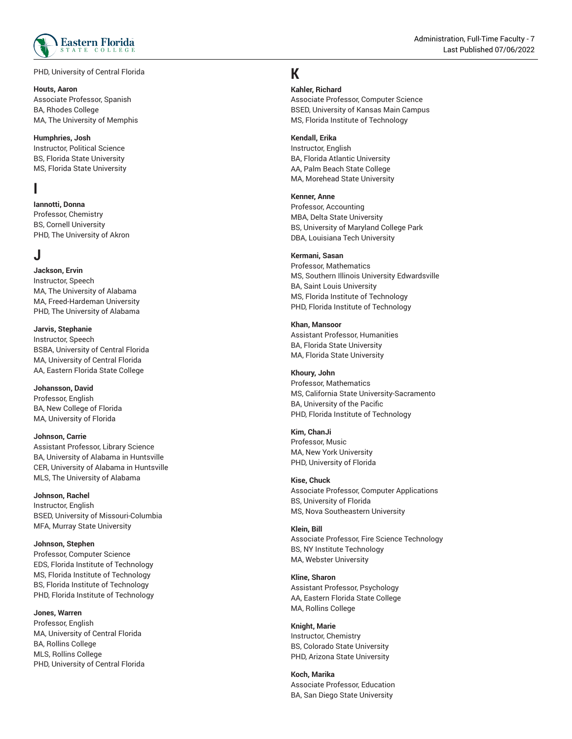

PHD, University of Central Florida ,

#### **Houts, Aaron**

Associate Professor, Spanish BA, Rhodes College MA, The University of Memphis

#### **Humphries, Josh**

Instructor, Politic al S cie n c e BS, Florida State University , MS, Florida State University ,

### **I**

**Iannotti, Donna**

Professor, Chemistry BS, Cornell University , PHD, The University of Akron ,

## **J**

**Jackson, Ervin** Instructor, Spe e c h MA, The University of Alabama , MA, Freed-Hardeman University , PHD, The University of Alabama ,

#### **J a r v i s , S t e p h a n i e**

Instructor, Speech BSBA, University of Central Florida MA, University of Central Florida , AA, Eastern Florida State College

### **Johansson, David**

Professor, English BA, New College of Florida MA, University of Florida

#### **Johnson, Carrie**

Assistant Professor, Library Science BA, University of Alabama in Huntsville , CER, University of Alabama in Huntsville , MLS, The University of Alabama ,

#### **Johnson, Rachel**

Instructor, Englis h BSED, University of Missouri-Columbia , MFA, Murray State University ,

#### **Johnson, Stephen**

Professor, Computer Science EDS, Florida Institute of Technology , MS, Florida Institute of Technology , BS, Florida Institute of Technology , PHD, Florida Institute of Technology ,

#### **Jones, Warren**

Professor, English MA, University of Central Florida , BA, Rollins College MLS, Rollins College PHD, University of Central Florida

## **K**

#### **Ka h l e r, R i c h a r d**

Associate Professor, Computer Science BSED, University of Kansas Main Campus , MS, Florida Institute of Technology ,

#### **K e n d a l l , E r i k a**

Instructor, Englis h BA, Florida Atlantic University , AA, Palm Beach State College , MA, Morehead State University ,

#### **K e n n e r, A n n e**

Professor, Accounting MBA, Delta State University , BS, University of Maryland College Park , DBA, Louisiana Tech University ,

#### **K e r m a n i , S a s a n**

Professor, Mathematics MS, Southern Illinois University Edwardsville , BA, Saint Louis University , MS, Florida Institute of Technology , PHD, Florida Institute of Technology ,

#### **Khan, Mansoor**

Assistant Professor, Humanities BA, Florida State University , MA, Florida State University ,

#### **K h o u r y, J o h n**

Professor, Mathematics MS, California State University-Sacramento , BA, University of the Pacific , PHD, Florida Institute of Technology ,

#### **Kim, ChanJi**

Professor, M u sic MA, New York University , PHD, University of Florida ,

#### **Kise, Chuck**

Associate Professor, Computer Applications BS, University of Florida , MS, Nova Southeastern University ,

#### **Klein, Bill**

Associate Professor, Fire Science Technology BS, NY Institute Technology , MA, Webster University ,

### **Kline, Sharon**

Assistant Professor, Psychology AA, Eastern Florida State College MA, Rollins College

#### **Knight, Marie**

Instructor, Chemistry BS, Colorado State University , PHD, Arizona State University ,

**K o c h , M a r i k a** Associate Professor, Education BA, San Diego State University ,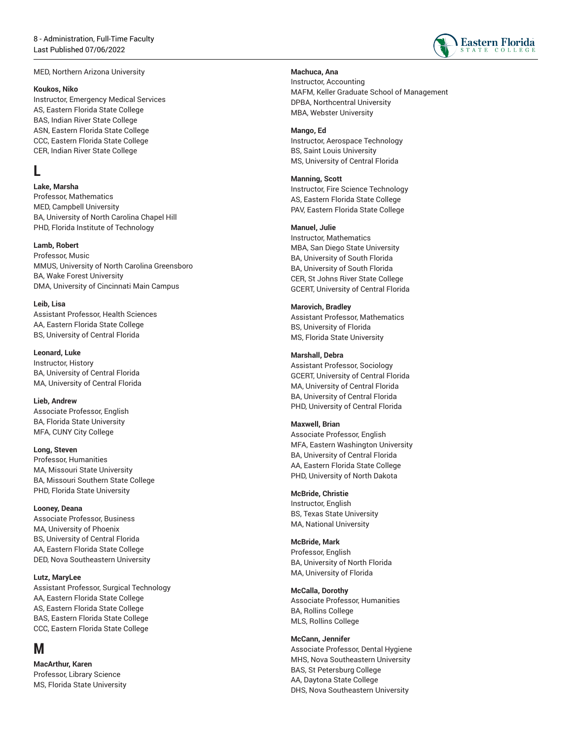MED, Northern Arizona University

#### **K o u k o s , N i k o**

Instructor, Emergency Medical Services AS, Eastern Florida State College BAS, Indian River State College ASN, Eastern Florida State College CCC, Eastern Florida State College CER, Indian River State College

# **L**

**Lake, Marsha**

Professor, Mathematics MED, Campbell University BA, University of North Carolina Chapel Hill PHD, Florida Institute of Technology

#### **Lamb, Robert**

Professor, Music MMUS, University of North Carolina Greens b o r o BA, Wake Forest University , DMA, University of Cincinnati Main Campus ,

#### **Leib, Lisa**

Assistant Professor, Health Sciences AA, Eastern Florida State College BS, University of Central Florida

#### **Leonard, Luke**

Instructor, History BA, University of Central Florida MA, University of Central Florida

**Lieb, Andrew** Associate Professor, English BA, Florida State University , M F A C U N Y Cit y C olle g e ,

#### Long, Steven

Professor, Humanities MA, Missouri State University , BA, Missouri Southern State College PHD, Florida State University

#### **Looney, Deana**

Associate Professor, Business MA, University of Phoenix BS, University of Central Florida AA, Eastern Florida State College DED, Nova Southeastern Universit y

#### **L u t z , M a r y L e e**

Assistant Professor, Surgical Technology AA, Eastern Florida State College AS, Eastern Florida State College BAS, Eastern Florida State College CCC, Eastern Florida State College

## **M**

**MacArthur, Karen** Professor, Library Science MS, Florida State University

#### **Machuca, Ana**

Instructor, Accounting MAFM, Keller Graduate School of Management , DPBA, Northcentral University , MBA, Webster University ,

#### **M a n g o , E d**

Instructor, Aerospace Technology BS, Saint Louis University , MS, University of Central Florida ,

#### **Manning, Scott**

Instructor, Fire Science Technology AS, Eastern Florida State College PAV, Eastern Florida State Colleg e

#### **Manuel, Julie**

Instructor, Mathematics MBA, San Diego State University , BA, University of South Florida , BA, University of South Florida , CER, St Johns River State College , GCERT, University of Central Florida

#### **Marovich, Bradley**

Assistant Professor, Mathematics BS, University of Florida , MS, Florida State University ,

#### **Marshall, Debra**

Assistant Professor, Sociology GCERT, University of Central Florida MA, University of Central Florida , BA, University of Central Florida , PHD, University of Central Florida ,

#### **Maxwell, Brian**

Associate Professor, English MFA, Eastern Washington University , BA, University of Central Florida , AA, Eastern Florida State College PHD, University of North Dakota

#### **McBride, Christie**

Instructor, English BS, Texas State University MA, National University ,

#### **McBride, Mark**

Professor, Englis h BA, University of North Florida , MA, University of Florida ,

#### **McCalla, Dorothy**

Associate Professor, Humanities BA, Rollins College MLS, Rollins College

#### **McCann, Jennifer**

Associate Professor, Dental Hygiene MHS, Nova Southeastern University , BAS, St Petersburg College , AA, Daytona State College , DHS, Nova Southeastern University ,

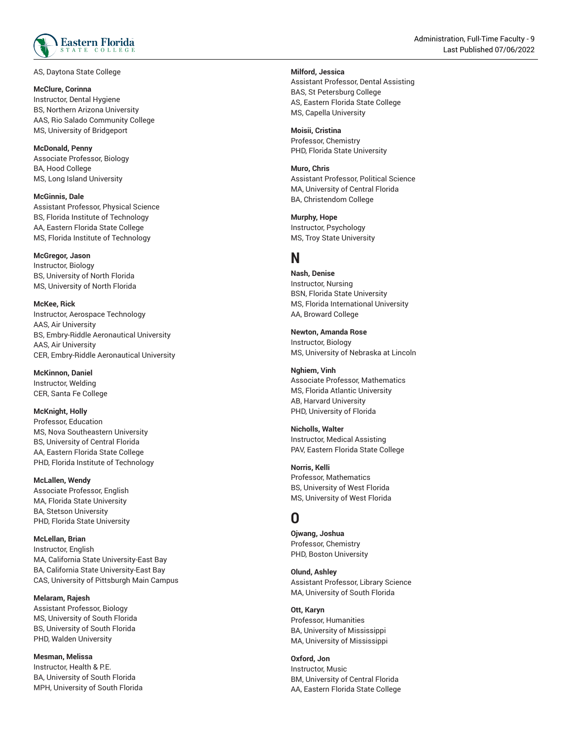

AS, Daytona State College ,

#### **McClure, Corinna**

Instructor, Dental Hygiene BS, Northern Arizona University , AAS, Rio Salado Community College MS, University of Bridgeport

#### **McDonald, Penny**

Associate Professor, Biology BA, Hood College MS, Long Island University

**McGinnis, Dale** Assistant Professor, Physical Science BS, Florida Institute of Technology , AA, Eastern Florida State College MS, Florida Institute of Technolog y

#### **McGregor, Jason**

Instructor, Biolog y BS, University of North Florida , MS, University of North Florida ,

**McKee, Rick** 

Instructor, Aerospace Technology AAS, Air University , BS, Embry-Riddle Aeronautical University , AAS, Air University , CER, Embry-Riddle Aeronautical University ,

**McKinnon, Daniel** Instructor, Weldin g CER, Santa Fe College ,

**McKnight, Holly** Professor, Education MS, Nova Southeastern University , BS, University of Central Florida , AA, Eastern Florida State College PHD, Florida Institute of Technolo g y

**McLallen, Wendy** Associate Professor, English MA, Florida State University , BA, Stetson University , PHD, Florida State University ,

**McLellan, Brian** Instructor, Englis h MA, California State University-East Bay , BA, California State University-East Bay , CAS, University of Pittsburgh Main Campus ,

**Melaram, Rajesh** Assistant Professor, Biology MS, University of South Florida , BS, University of South Florida , PHD, Walden University ,

**Mesman, Melissa** Instructor, Health & P.E. BA, University of South Florida MPH, University of South Florida ,

Administration, Full-Time Faculty - 9 , Last Published 07/06/2022

### **Milford, Jessica**

Assistant Professor, Dental Assisting BAS, St Petersburg College , AS, Eastern Florida State College MS, Capella University

**Moisii, Cristina** Professor, Chemistry PHD, Florida State University ,

**Muro, Chris** Assistant Professor, Political Science MA, University of Central Florida , BA, Christendom College

**Murphy, Hope** Instructor, Psychology MS, Troy State University

# **N**

**Nash, Denise** Instructor, Nursing BSN, Florida State University , MS, Florida International University , AA, Broward College ,

**Newton, Amanda Rose**

Instructor, Biology MS, University of Nebraska at Lincoln

**Nghiem, Vinh** Associate Professor, Mathematics MS, Florida Atlantic University , AB, Harvard University , PHD, University of Florida ,

**N i c h o l l s , W a l t e r** Instructor, Medic al A s sis tin g PAV, Eastern Florida State College

**N o r r i s , K e l l i** Professor, Mathematics BS, University of West Florida , MS, University of West Florida ,

# **O**

**Ojwang, Joshua** Professor, Chemistry PHD, Boston University ,

**O l u n d , A s h l e y** Assistant Professor, Library Science MA, University of South Florida ,

Ott, Karyn Professor, Humanities BA, University of Mississippi , MA, University of Mississippi

**Oxford, Jon** Instructor, M u sic BM, University of Central Florida , AA, Eastern Florida State College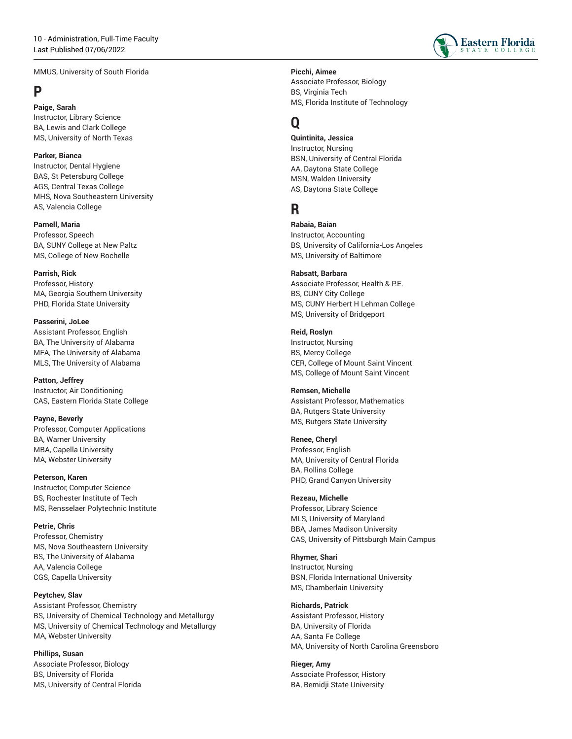MMUS, University of South Florida

# **P**

**Paige, Sarah** Instructor, Library Science BA, Lewis and Clark College MS, University of North Texas

**Parker, Bianca** Instructor, Dental Hygiene BAS, St Petersburg College AGS, Central Texas College MHS, Nova Southeastern University AS, Valencia College

**Parnell, Maria** Professor, Speech BA, SUNY College at New Paltz MS, College of New Rochelle

**Parrish, Rick** Professor, History MA, Georgia Southern University PHD, Florida State University

**Passerini, JoLee** Assistant Professor, English BA, The University of Alabama MFA, The University of Alabama MLS, The University of Alabama

**Patton, Jeffrey** Instructor, Air Conditioning CAS, Eastern Florida State College

**Payne, Beverly** Professor, Computer Applications BA, Warner University MBA, Capella University MA, Webster University

**Peterson, Karen** Instructor, Computer Science BS, Rochester Institute of Tech MS, Rensselaer Polytechnic Institute

**Petrie, Chris** Professor, Chemistry MS, Nova Southeastern University BS, The University of Alabama AA, Valencia College CGS, Capella University

**Peytchev, Slav** Assistant Professor, Chemistry BS, University of Chemical Technology and Metallurgy MS, University of Chemical Technology and Metallurgy MA, Webster University

**Phillips, Susan** Associate Professor, Biology BS, University of Florida MS, University of Central Florida **Picchi, Aimee**

Associate Professor, Biology BS, Virginia Tech MS, Florida Institute of Technology

# **Q**

**Quintinita, Jessica** Instructor, Nursing BSN, University of Central Florida AA, Daytona State College MSN, Walden University AS, Daytona State College

# **R**

**Rabaia, Baian** Instructor, Accounting BS, University of California-Los Angeles MS, University of Baltimore

#### **Rabsatt, Barbara**

Associate Professor, Health & P.E. BS, CUNY City College MS, CUNY Herbert H Lehman College MS, University of Bridgeport

#### **Reid, Roslyn**

Instructor, Nursing BS, Mercy College CER, College of Mount Saint Vincent MS, College of Mount Saint Vincent

#### **Remsen, Michelle**

Assistant Professor, Mathematics BA, Rutgers State University MS, Rutgers State University

#### **Renee, Cheryl**

Professor, English MA, University of Central Florida BA, Rollins College PHD, Grand Canyon University

#### **Rezeau, Michelle**

Professor, Library Science MLS, University of Maryland BBA, James Madison University CAS, University of Pittsburgh Main Campus

**Rhymer, Shari** Instructor, Nursing BSN, Florida International University MS, Chamberlain University

#### **Richards, Patrick**

Assistant Professor, History BA, University of Florida AA, Santa Fe College MA, University of North Carolina Greensboro

**Rieger, Amy** Associate Professor, History BA, Bemidji State University

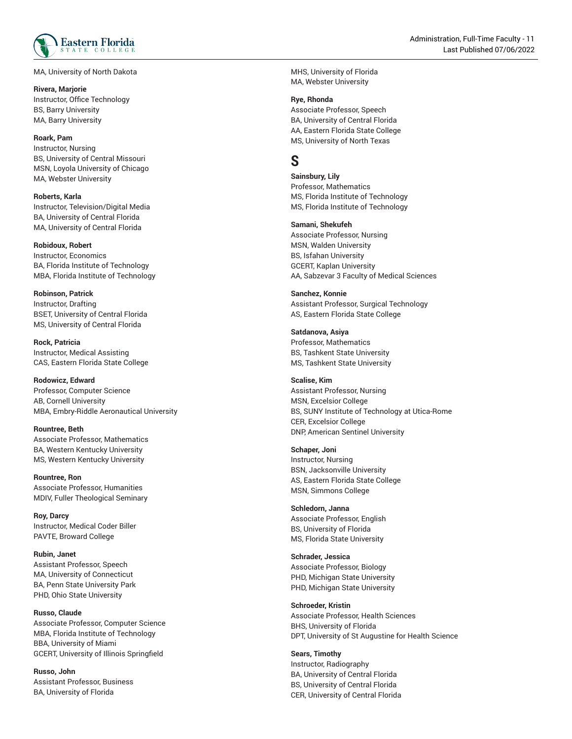

MA, University of North Dakota ,

#### **R i v e r a , M a rj o r i e** Instructor, Office Technology BS, Barry University , MA, Barry University ,

#### **R o a r k , P a m**

Instructor, Nursing BS, University of Central Missouri , MSN, Loyola University of Chicag o MA, Webster University ,

**R o b e r t s , K a r l a** Instructor, Television/Digital Media BA, University of Central Florida , MA, University of Central Florida ,

#### **Robidoux, Robert**

Instructor, Economic s BA, Florida Institute of Technology , MBA, Florida Institute of Technology ,

**R o b i n s o n , P a t r i c k** Instructor, Drafting BSET, University of Central Florida MS, University of Central Florida ,

**R o c k , P a t r i c i a** Instructor, Me dic al A s sis tin g CAS, Eastern Florida State College

**Rodowicz, Edward**

Professor, Computer Science AB, Cornell University MBA, Embry-Riddle Aeronautical University

**Rountree, Beth** Associate Professor, Mathematics BA, Western Kentucky University , MS, Western Kentucky University ,

**Rountree, Ron** Associate Professor, Humanities MDIV, Fuller Theological Seminary

**R o y, D a r c y** Instructor, Medical Coder Biller PAVTE, Broward College ,

**Rubin, Janet** Assistant Professor, Speech MA, University of Connecticut , BA, Penn State University Park , PHD, Ohio State University ,

**Russo, Claude** Associate Professor, Computer Science MBA, Florida Institute of Technology , BBA, University of Miami , GCERT, University of Illinois Springfield

**Russo, John** Assistant Professor, Business BA, University of Florida ,

MHS, University of Florida , MA, Webster University ,

#### **R y e , R h o n d a**

Associate Professor, Speech BA, University of Central Florida , AA, Eastern Florida State College MS, University of North Texas

# **S**

**Sainsbury, Lily** Professor, Mathematics MS, Florida Institute of Technolog y MS, Florida Institute of Technology ,

#### **Samani, Shekufeh**

Associate Professor, Nursing MSN, Walden University , BS, Isfahan University GCERT, Kaplan University AA, Sabzevar 3 Faculty of Medical Sciences ,

**S a n c h e z , K o n n i e** Assistant Professor, Surgical Technology AS, Eastern Florida State College

#### **Satdanova, Asiya**

Professor, Mathematics BS, Tashkent State University MS, Tashkent State University

#### **Scalise, Kim**

Assistant Professor, Nursing M S N E x c elsio r C olle g e , BS, SUNY Institute of Technology at Utica-Rome , CER, Excelsior College , DNP, American Sentinel University

#### **Schaper, Joni**

Instructor, Nursing BSN, Jacksonville University , AS, Eastern Florida State College MSN, Simmons College

#### **Schledorn, Janna**

Associate Professor, English BS, University of Florida , MS, Florida State University ,

**S c h r a d e r, J e s s i c a** Associate Professor, Biology

PHD, Michigan State University , PHD, Michigan State University ,

#### **S c h r o e d e r, K r i s t i n**

Associate Professor, Health Sciences BHS, University of Florida , DPT, University of St Augustine for Health Science

**Sears, Timothy** Instructor, Radiography BA, University of Central Florida , BS, University of Central Florida , CER, University of Central Florida ,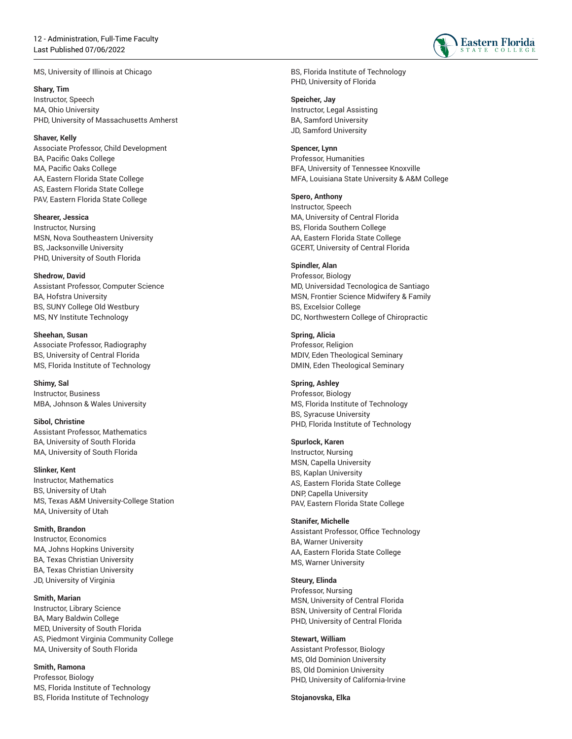MS, University of Illinois at Chicago

**S h a r y, T i m** Instructor, Speech MA, Ohio University , PHD, University of Massachusetts Amherst ,

**S h a v e r, K e l l y** Associate Professor, Child Development BA, Pacific Oaks College , MA, Pacific Oaks College , AA, Eastern Florida State College AS, Eastern Florida State College PAV, Eastern Florida State Colleg e

**S h e a r e r, J e s s i c a** Instructor, Nursin g MSN, Nova Southeastern University , BS, Jacksonville University , PHD, University of South Florida ,

**Shedrow, David** Assistant Professor, Computer Science BA, Hofstra University , BS, SUNY College Old Westbury , MS, NY Institute Technology ,

**Sheehan, Susan** Associate Professor, Radiography BS, University of Central Florida , MS, Florida Institute of Technology ,

**S h i m y, S a l** Instructor, Business MBA, Johnson & Wales University ,

**Sibol, Christine** Assistant Professor, Mathematics BA, University of South Florida , MA, University of South Florida ,

**S l i n k e r, K e n t** Instructor, Mathematics BS, University of Utah , MS, Texas A&M University-College Station , MA, University of Utah ,

**Smith, Brandon** Instructor, Economics MA, Johns Hopkins University , BA, Texas Christian University , BA, Texas Christian University , JD, University of Virginia ,

#### **Smith, Marian**

Instructor, Library Science BA, Mary Baldwin College , MED, University of South Florida , A S Pie d m o n t Vir ginia C o m m u nit y C olle g e , MA, University of South Florida ,

**Smith, Ramona** Professor, Biolo g y MS, Florida Institute of Technology , BS, Florida Institute of Technology ,

BS, Florida Institute of Technology , PHD, University of Florida ,

Speicher, Jay

Instructor, Legal Assisting BA, Samford University , JD, Samford University ,

**Spencer, Lynn** 

Professor, Humanities BFA, University of Tennessee Knoxville , MFA, Louisiana State University & A&M College ,

**Spero, Anthony**

Instructor, Spee c h MA, University of Central Florida , BS, Florida Southern College AA, Eastern Florida State College GCERT, University of Central Florid a

#### **S p i n d l e r, A l a n**

Professor, Biology MD, Universidad Tecnologica de Santiago , MSN, Frontier Science Midwifery & Family , BS, Excelsior College , DC, Northwestern College of Chiropractic ,

**Spring, Alicia** Professor, Religio n MDIV, Eden Theological Seminary DMIN, Eden Theological Seminary ,

**S p r i n g , A s h l e y** Professor, Biology MS, Florida Institute of Technology ,

BS, Syracuse University

,

PHD, Florida Institute of Technology , **Spurlock, Karen** Instructor, Nursin g MSN, Capella University , BS, Kaplan University ,

AS, Eastern Florida State College DNP, Capella University PAV, Eastern Florida State Colleg e

**S t a n i f e r, M i c h e l l e**

Assistant Professor, Office Technology BA, Warner University , AA, Eastern Florida State College MS, Warner University

#### **Steury, Elinda**

Professor, Nursing MSN, University of Central Florida BSN, University of Central Florida PHD, University of Central Florida

**Stewart, William**

Assistant Professor, Biology MS, Old Dominion University BS, Old Dominion University PHD, University of California-Irvine

**Stojanovska, Elka**

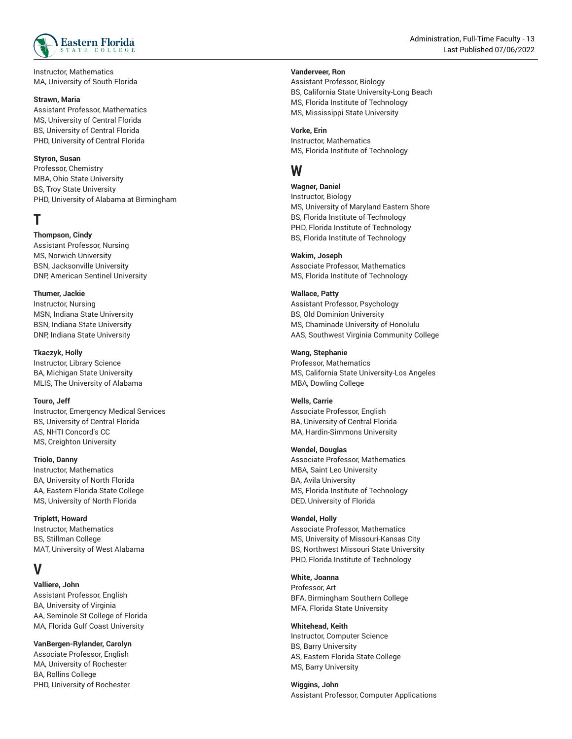

Instructor, Mathematics MA, University of South Florida

Assistant Professor, Mathematics MS, University of Central Florida BS, University of Central Florida PHD, University of Central Florida

#### **Styron, Susan**

Professor, Chemistry MBA, Ohio State University BS, Troy State University PHD, University of Alabama at Birmingham

### **T**

#### **Thompson, Cindy**

Assistant Professor, Nursing MS, Norwich University BSN, Jacksonville University DNP, American Sentinel University

#### **Thurner, Jackie**

Instructor, Nursing MSN, Indiana State University BSN, Indiana State University DNP, Indiana State University

#### **Tkaczyk, Holly**

Instructor, Library Science BA, Michigan State University MLIS, The University of Alabama

#### **Touro, Jeff**

Instructor, Emergency Medical Services BS, University of Central Florida AS, NHTI Concord's CC MS, Creighton University

#### **Triolo, Danny**

Instructor, Mathematics BA, University of North Florida AA, Eastern Florida State College MS, University of North Florida

#### **Triplett, Howard**

Instructor, Mathematics BS, Stillman College MAT, University of West Alabama

# **V**

**Valliere, John**

Assistant Professor, English BA, University of Virginia AA, Seminole St College of Florida MA, Florida Gulf Coast University

#### **VanBergen-Rylander, Carolyn**

Associate Professor, English MA, University of Rochester BA, Rollins College PHD, University of Rochester

#### **Vanderveer, Ron**

Assistant Professor, Biology BS, California State University-Long Beach MS, Florida Institute of Technology MS, Mississippi State University

**Vorke, Erin** Instructor, Mathematics MS, Florida Institute of Technology

## **W**

**Wagner, Daniel** Instructor, Biology MS, University of Maryland Eastern Shore BS, Florida Institute of Technology PHD, Florida Institute of Technology BS, Florida Institute of Technology

#### **Wakim, Joseph**

Associate Professor, Mathematics MS, Florida Institute of Technology

#### **Wallace, Patty**

Assistant Professor, Psychology BS, Old Dominion University MS, Chaminade University of Honolulu AAS, Southwest Virginia Community College

#### **Wang, Stephanie**

Professor, Mathematics MS, California State University-Los Angeles MBA, Dowling College

#### **Wells, Carrie**

Associate Professor, English BA, University of Central Florida MA, Hardin-Simmons University

#### **Wendel, Douglas**

Associate Professor, Mathematics MBA, Saint Leo University BA, Avila University MS, Florida Institute of Technology DED, University of Florida

#### **Wendel, Holly**

Associate Professor, Mathematics MS, University of Missouri-Kansas City BS, Northwest Missouri State University PHD, Florida Institute of Technology

#### **White, Joanna**

Professor, Art BFA, Birmingham Southern College MFA, Florida State University

#### **Whitehead, Keith**

Instructor, Computer Science BS, Barry University AS, Eastern Florida State College MS, Barry University

**Wiggins, John** Assistant Professor, Computer Applications